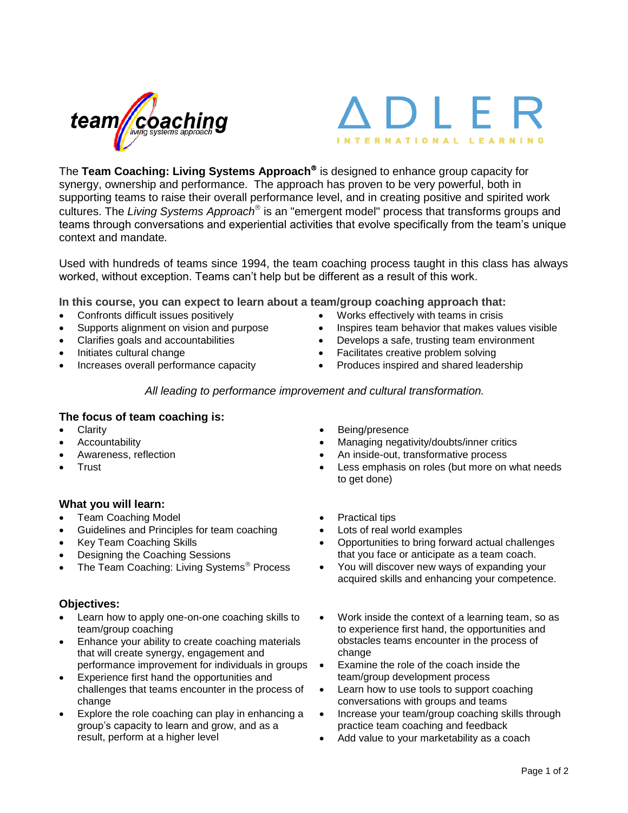#### The **Team Coaching: Living Systems Approach** is designed to enhance group capacity for synergy, ownership and performance. The approach has proven to be very powerful, both in supporting teams to raise their overall performance level, and in creating positive and spirited work cultures. The *Living Systems Approach* is an "emergent model" process that transforms groups and teams through conversations and experiential activities that evolve specifically from the team's unique context and mandate*.*

Used with hundreds of teams since 1994, the team coaching process taught in this class has always worked, without exception. Teams can't help but be different as a result of this work.

**In this course, you can expect to learn about a team/group coaching approach that:**

Confronts difficult issues positively

**The focus of team coaching is:**

- Supports alignment on vision and purpose
- Clarifies goals and accountabilities
- Initiates cultural change
- Increases overall performance capacity

Works effectively with teams in crisis

Inspires team behavior that makes values visible

) | F

**INTERNATIONAL LEARN** 

- An inside-out, transformative process
- Less emphasis on roles (but more on what needs to get done)
- Opportunities to bring forward actual challenges that you face or anticipate as a team coach.
- You will discover new ways of expanding your acquired skills and enhancing your competence.
- Work inside the context of a learning team, so as to experience first hand, the opportunities and obstacles teams encounter in the process of change
- Examine the role of the coach inside the team/group development process
- Learn how to use tools to support coaching conversations with groups and teams
- Increase your team/group coaching skills through practice team coaching and feedback
- Add value to your marketability as a coach

## **Objectives:**

Clarity

Trust

**Accountability** Awareness, reflection

**What you will learn:**

Team Coaching Model

Key Team Coaching Skills

Designing the Coaching Sessions

 Learn how to apply one-on-one coaching skills to team/group coaching

The Team Coaching: Living Systems<sup>®</sup> Process

- Enhance your ability to create coaching materials that will create synergy, engagement and performance improvement for individuals in groups
- Experience first hand the opportunities and challenges that teams encounter in the process of change
- Explore the role coaching can play in enhancing a group's capacity to learn and grow, and as a result, perform at a higher level

## Being/presence

- Managing negativity/doubts/inner critics
- 
- 
- 
- 

*All leading to performance improvement and cultural transformation.*

- 
- -

# Practical tips Lots of real world examples

- Guidelines and Principles for team coaching
-